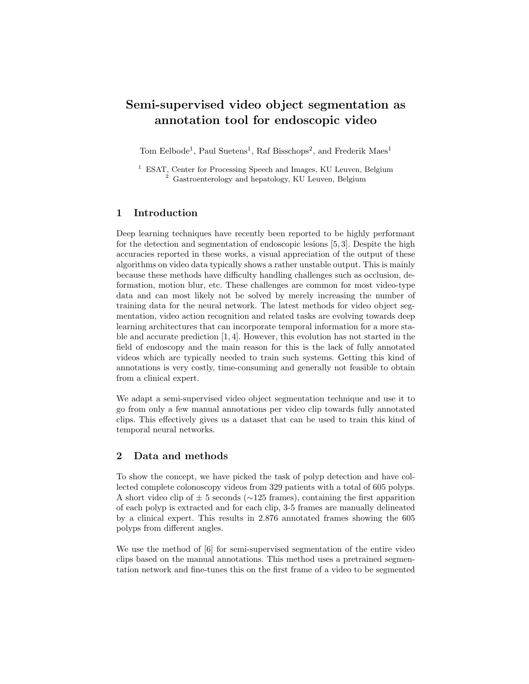# Semi-supervised video object segmentation as annotation tool for endoscopic video

Tom Eelbode<sup>1</sup>, Paul Suetens<sup>1</sup>, Raf Bisschops<sup>2</sup>, and Frederik Maes<sup>1</sup>

<sup>1</sup> ESAT, Center for Processing Speech and Images, KU Leuven, Belgium <sup>2</sup> Gastroenterology and hepatology, KU Leuven, Belgium

## 1 Introduction

Deep learning techniques have recently been reported to be highly performant for the detection and segmentation of endoscopic lesions [5, 3]. Despite the high accuracies reported in these works, a visual appreciation of the output of these algorithms on video data typically shows a rather unstable output. This is mainly because these methods have difficulty handling challenges such as occlusion, deformation, motion blur, etc. These challenges are common for most video-type data and can most likely not be solved by merely increasing the number of training data for the neural network. The latest methods for video object segmentation, video action recognition and related tasks are evolving towards deep learning architectures that can incorporate temporal information for a more stable and accurate prediction [1, 4]. However, this evolution has not started in the field of endoscopy and the main reason for this is the lack of fully annotated videos which are typically needed to train such systems. Getting this kind of annotations is very costly, time-consuming and generally not feasible to obtain from a clinical expert.

We adapt a semi-supervised video object segmentation technique and use it to go from only a few manual annotations per video clip towards fully annotated clips. This effectively gives us a dataset that can be used to train this kind of temporal neural networks.

## 2 Data and methods

To show the concept, we have picked the task of polyp detection and have collected complete colonoscopy videos from 329 patients with a total of 605 polyps. A short video clip of  $\pm$  5 seconds ( $\sim$ 125 frames), containing the first apparition of each polyp is extracted and for each clip, 3-5 frames are manually delineated by a clinical expert. This results in 2.876 annotated frames showing the 605 polyps from different angles.

We use the method of [6] for semi-supervised segmentation of the entire video clips based on the manual annotations. This method uses a pretrained segmentation network and fine-tunes this on the first frame of a video to be segmented